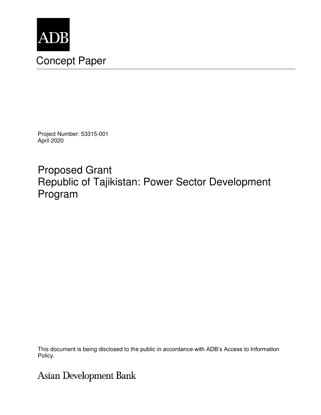

# Concept Paper

Project Number: 53315-001 April 2020

Proposed Grant Republic of Tajikistan: Power Sector Development Program

This document is being disclosed to the public in accordance with ADB's Access to Information Policy.

# **Asian Development Bank**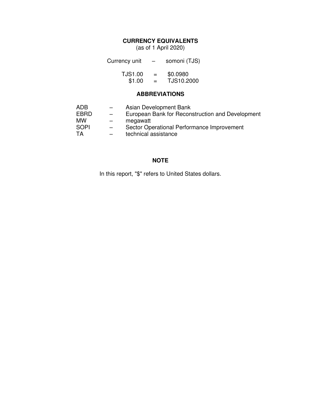# **CURRENCY EQUIVALENTS**

(as of 1 April 2020)

| Currency unit  | $\overline{\phantom{m}}$ | somoni (TJS) |
|----------------|--------------------------|--------------|
| <b>TJS1.00</b> | $=$                      | \$0.0980     |
| \$1.00         | $=$                      | TJS10.2000   |

# **ABBREVIATIONS**

| ADB  | $\qquad \qquad -$        | Asian Development Bank                           |
|------|--------------------------|--------------------------------------------------|
| EBRD | $\overline{\phantom{0}}$ | European Bank for Reconstruction and Development |
| мw   | $\qquad \qquad -$        | megawatt                                         |
| SOPI | $\overline{\phantom{0}}$ | Sector Operational Performance Improvement       |
| TA   | $\overline{\phantom{0}}$ | technical assistance                             |

# **NOTE**

In this report, "\$" refers to United States dollars.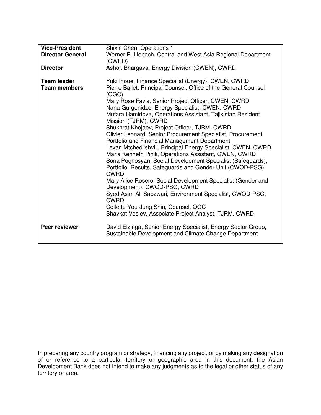| <b>Vice-President</b><br><b>Director General</b> | Shixin Chen, Operations 1<br>Werner E. Liepach, Central and West Asia Regional Department<br>(CWRD)                                                                                                                                                                                                                                                                                                                                                                                                                                                                                                                                                                                                                                                                                                                                                                                                                                                                                                                                                  |
|--------------------------------------------------|------------------------------------------------------------------------------------------------------------------------------------------------------------------------------------------------------------------------------------------------------------------------------------------------------------------------------------------------------------------------------------------------------------------------------------------------------------------------------------------------------------------------------------------------------------------------------------------------------------------------------------------------------------------------------------------------------------------------------------------------------------------------------------------------------------------------------------------------------------------------------------------------------------------------------------------------------------------------------------------------------------------------------------------------------|
| <b>Director</b>                                  | Ashok Bhargava, Energy Division (CWEN), CWRD                                                                                                                                                                                                                                                                                                                                                                                                                                                                                                                                                                                                                                                                                                                                                                                                                                                                                                                                                                                                         |
| <b>Team leader</b><br><b>Team members</b>        | Yuki Inoue, Finance Specialist (Energy), CWEN, CWRD<br>Pierre Bailet, Principal Counsel, Office of the General Counsel<br>(OGC)<br>Mary Rose Favis, Senior Project Officer, CWEN, CWRD<br>Nana Gurgenidze, Energy Specialist, CWEN, CWRD<br>Mufara Hamidova, Operations Assistant, Tajikistan Resident<br>Mission (TJRM), CWRD<br>Shukhrat Khojaev, Project Officer, TJRM, CWRD<br>Olivier Leonard, Senior Procurement Specialist, Procurement,<br>Portfolio and Financial Management Department<br>Levan Mtchedlishvili, Principal Energy Specialist, CWEN, CWRD<br>Maria Kenneth Pinili, Operations Assistant, CWEN, CWRD<br>Sona Poghosyan, Social Development Specialist (Safeguards),<br>Portfolio, Results, Safeguards and Gender Unit (CWOD-PSG),<br><b>CWRD</b><br>Mary Alice Rosero, Social Development Specialist (Gender and<br>Development), CWOD-PSG, CWRD<br>Syed Asim Ali Sabzwari, Environment Specialist, CWOD-PSG,<br><b>CWRD</b><br>Collette You-Jung Shin, Counsel, OGC<br>Shavkat Vosiev, Associate Project Analyst, TJRM, CWRD |
| Peer reviewer                                    | David Elzinga, Senior Energy Specialist, Energy Sector Group,<br>Sustainable Development and Climate Change Department                                                                                                                                                                                                                                                                                                                                                                                                                                                                                                                                                                                                                                                                                                                                                                                                                                                                                                                               |

In preparing any country program or strategy, financing any project, or by making any designation of or reference to a particular territory or geographic area in this document, the Asian Development Bank does not intend to make any judgments as to the legal or other status of any territory or area.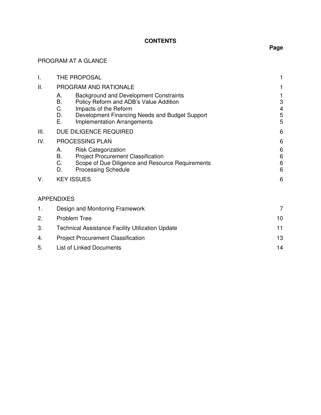# **CONTENTS**

# PROGRAM AT A GLANCE

| I.  | <b>THE PROPOSAL</b>                                                                                                                                                                                                                    |                                        |
|-----|----------------------------------------------------------------------------------------------------------------------------------------------------------------------------------------------------------------------------------------|----------------------------------------|
| П.  | PROGRAM AND RATIONALE                                                                                                                                                                                                                  |                                        |
|     | <b>Background and Development Constraints</b><br>А.<br>В.<br>Policy Reform and ADB's Value Addition<br>C.<br>Impacts of the Reform<br>D.<br>Development Financing Needs and Budget Support<br>Ε.<br><b>Implementation Arrangements</b> | 3<br>4<br>5<br>5                       |
| Ш.  | DUE DILIGENCE REQUIRED                                                                                                                                                                                                                 | 6                                      |
| IV. | PROCESSING PLAN                                                                                                                                                                                                                        | 6                                      |
|     | <b>Risk Categorization</b><br>А.<br>В.<br><b>Project Procurement Classification</b><br>C.<br>Scope of Due Diligence and Resource Requirements<br>D.<br><b>Processing Schedule</b>                                                      | 6<br>$\,6$<br>$\,6$<br>$6\phantom{1}6$ |
| V.  | <b>KEY ISSUES</b>                                                                                                                                                                                                                      | 6                                      |
|     | <b>APPENDIXES</b>                                                                                                                                                                                                                      |                                        |
| 1.  | Design and Monitoring Framework                                                                                                                                                                                                        | 7                                      |
| 2.  | <b>Problem Tree</b><br>10                                                                                                                                                                                                              |                                        |
| 3.  | <b>Technical Assistance Facility Utilization Update</b>                                                                                                                                                                                |                                        |
| 4.  | <b>Project Procurement Classification</b>                                                                                                                                                                                              | 13                                     |
|     |                                                                                                                                                                                                                                        |                                        |

5. List of Linked Documents 14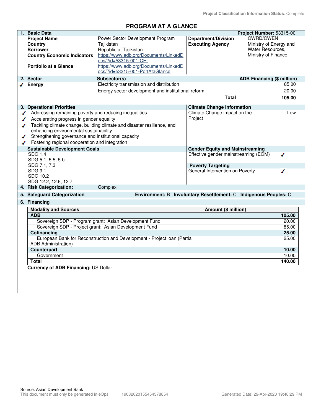# **PROGRAM AT A GLANCE**

|   | 1. Basic Data                                          |                                                                          |         |                                        | Project Number: 53315-001         |        |
|---|--------------------------------------------------------|--------------------------------------------------------------------------|---------|----------------------------------------|-----------------------------------|--------|
|   | <b>Project Name</b>                                    | Power Sector Development Program                                         |         | <b>Department/Division</b>             | <b>CWRD/CWEN</b>                  |        |
|   | Country                                                | Tajikistan                                                               |         | <b>Executing Agency</b>                | Ministry of Energy and            |        |
|   | <b>Borrower</b>                                        | Republic of Tajikistan                                                   |         |                                        | Water Resources.                  |        |
|   | <b>Country Economic Indicators</b>                     | https://www.adb.org/Documents/LinkedD<br>ocs/?id=53315-001-CEI           |         |                                        | Ministry of Finance               |        |
|   | <b>Portfolio at a Glance</b>                           | https://www.adb.org/Documents/LinkedD<br>ocs/?id=53315-001-PortAtaGlance |         |                                        |                                   |        |
|   | 2. Sector                                              | Subsector(s)                                                             |         |                                        | <b>ADB Financing (\$ million)</b> |        |
|   | $\sqrt{\phantom{a}}$ Energy                            | Electricity transmission and distribution                                |         |                                        |                                   | 85.00  |
|   |                                                        | Energy sector development and institutional reform                       |         |                                        |                                   | 20.00  |
|   |                                                        |                                                                          |         |                                        |                                   |        |
|   |                                                        |                                                                          |         | Total                                  |                                   | 105.00 |
|   | 3. Operational Priorities                              |                                                                          |         | <b>Climate Change Information</b>      |                                   |        |
| ◢ | Addressing remaining poverty and reducing inequalities |                                                                          |         | Climate Change impact on the           |                                   | Low    |
| ◢ | Accelerating progress in gender equality               |                                                                          | Project |                                        |                                   |        |
| ◢ |                                                        | Tackling climate change, building climate and disaster resilience, and   |         |                                        |                                   |        |
|   | enhancing environmental sustainability                 |                                                                          |         |                                        |                                   |        |
| ◢ | Strengthening governance and institutional capacity    |                                                                          |         |                                        |                                   |        |
|   | Fostering regional cooperation and integration         |                                                                          |         |                                        |                                   |        |
|   | <b>Sustainable Development Goals</b>                   |                                                                          |         | <b>Gender Equity and Mainstreaming</b> |                                   |        |
|   | SDG 1.4                                                |                                                                          |         | Effective gender mainstreaming (EGM)   |                                   | ℐ      |
|   | SDG 5.1, 5.5, 5.b                                      |                                                                          |         |                                        |                                   |        |
|   | SDG 7.1, 7.3                                           |                                                                          |         | <b>Poverty Targeting</b>               |                                   |        |
|   | SDG 9.1                                                |                                                                          |         | General Intervention on Poverty        |                                   | ∕      |
|   | SDG 10.2                                               |                                                                          |         |                                        |                                   |        |
|   | SDG 12.2, 12.6, 12.7                                   |                                                                          |         |                                        |                                   |        |
|   | 4. Risk Categorization:                                | Complex                                                                  |         |                                        |                                   |        |
|   | 5. Safeguard Categorization                            | Environment: B Involuntary Resettlement: C Indigenous Peoples: C         |         |                                        |                                   |        |
|   | 6. Financing                                           |                                                                          |         |                                        |                                   |        |
|   | <b>Modality and Sources</b>                            |                                                                          |         | Amount (\$ million)                    |                                   |        |
|   | <b>ADB</b>                                             |                                                                          |         |                                        |                                   | 105.00 |
|   |                                                        | Sovereign SDP - Program grant: Asian Development Fund                    |         |                                        |                                   | 20.00  |
|   |                                                        | Sovereign SDP - Project grant: Asian Development Fund                    |         |                                        |                                   | 85.00  |
|   | Cofinancing                                            |                                                                          |         |                                        |                                   | 25.00  |
|   |                                                        | European Bank for Reconstruction and Development - Project Ioan (Partial |         |                                        |                                   | 25.00  |
|   | ADB Administration)                                    |                                                                          |         |                                        |                                   |        |
|   | Counterpart                                            |                                                                          |         |                                        |                                   | 10.00  |
|   | Government                                             |                                                                          |         |                                        |                                   | 10.00  |
|   | <b>Total</b>                                           |                                                                          |         |                                        |                                   | 140.00 |
|   | Currency of ADB Financing: US Dollar                   |                                                                          |         |                                        |                                   |        |
|   |                                                        |                                                                          |         |                                        |                                   |        |
|   |                                                        |                                                                          |         |                                        |                                   |        |
|   |                                                        |                                                                          |         |                                        |                                   |        |
|   |                                                        |                                                                          |         |                                        |                                   |        |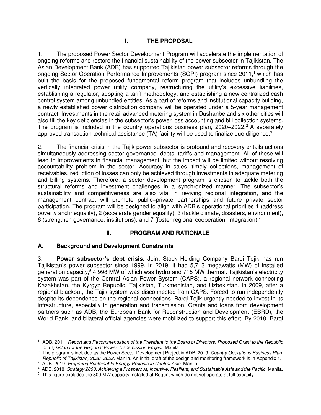# **I. THE PROPOSAL**

1. The proposed Power Sector Development Program will accelerate the implementation of ongoing reforms and restore the financial sustainability of the power subsector in Tajikistan. The Asian Development Bank (ADB) has supported Tajikistan power subsector reforms through the ongoing Sector Operation Performance Improvements (SOPI) program since 2011,<sup>1</sup> which has built the basis for the proposed fundamental reform program that includes unbundling the vertically integrated power utility company, restructuring the utility's excessive liabilities, establishing a regulator, adopting a tariff methodology, and establishing a new centralized cash control system among unbundled entities. As a part of reforms and institutional capacity building, a newly established power distribution company will be operated under a 5-year management contract. Investments in the retail advanced metering system in Dushanbe and six other cities will also fill the key deficiencies in the subsector's power loss accounting and bill collection systems. The program is included in the country operations business plan,  $2020-2022$ .<sup>2</sup> A separately approved transaction technical assistance (TA) facility will be used to finalize due diligence.<sup>3</sup>

2. The financial crisis in the Tajik power subsector is profound and recovery entails actions simultaneously addressing sector governance, debts, tariffs and management. All of these will lead to improvements in financial management, but the impact will be limited without resolving accountability problem in the sector. Accuracy in sales, timely collections, management of receivables, reduction of losses can only be achieved through investments in adequate metering and billing systems. Therefore, a sector development program is chosen to tackle both the structural reforms and investment challenges in a synchronized manner. The subsector's sustainability and competitiveness are also vital in reviving regional integration, and the management contract will promote public–private partnerships and future private sector participation. The program will be designed to align with ADB's operational priorities 1 (address poverty and inequality), 2 (accelerate gender equality), 3 (tackle climate, disasters, environment), 6 (strengthen governance, institutions), and 7 (foster regional cooperation, integration).<sup>4</sup>

# **II. PROGRAM AND RATIONALE**

# **A. Background and Development Constraints**

3. **Power subsector's debt crisis.** Joint Stock Holding Company Barqi Tojik has run Tajikistan's power subsector since 1999. In 2019, it had 5,713 megawatts (MW) of installed generation capacity,<sup>5</sup> 4,998 MW of which was hydro and 715 MW thermal. Tajikistan's electricity system was part of the Central Asian Power System (CAPS), a regional network connecting Kazakhstan, the Kyrgyz Republic, Tajikistan, Turkmenistan, and Uzbekistan. In 2009, after a regional blackout, the Tajik system was disconnected from CAPS. Forced to run independently despite its dependence on the regional connections, Barqi Tojik urgently needed to invest in its infrastructure, especially in generation and transmission. Grants and loans from development partners such as ADB, the European Bank for Reconstruction and Development (EBRD), the World Bank, and bilateral official agencies were mobilized to support this effort. By 2018, Barqi

<sup>1</sup> ADB. 2011. *Report and Recommendation of the President to the Board of Directors: Proposed Grant to the Republic of Tajikistan for the Regional Power Transmission Project*. Manila.

<sup>2</sup> The program is included as the Power Sector Development Project in ADB. 2019. *Country Operations Business Plan: Republic of Tajikistan, 2020–2022.* Manila. An initial draft of the design and monitoring framework is in Appendix 1.

<sup>3</sup> ADB. 2019. *Preparing Sustainable Energy Projects in Central Asia*. Manila.

<sup>4</sup> ADB. 2018. *Strategy 2030: Achieving a Prosperous, Inclusive, Resilient, and Sustainable Asia and the Pacific*. Manila.

<sup>&</sup>lt;sup>5</sup> This figure excludes the 800 MW capacity installed at Rogun, which do not yet operate at full capacity.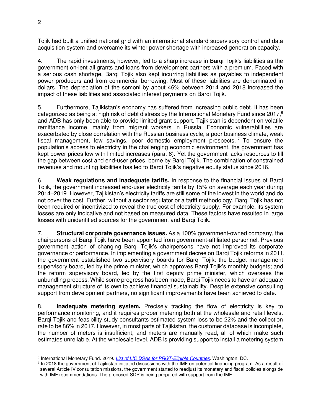Tojik had built a unified national grid with an international standard supervisory control and data acquisition system and overcame its winter power shortage with increased generation capacity.

4. The rapid investments, however, led to a sharp increase in Barqi Tojik's liabilities as the government on-lent all grants and loans from development partners with a premium. Faced with a serious cash shortage, Barqi Tojik also kept incurring liabilities as payables to independent power producers and from commercial borrowing. Most of these liabilities are denominated in dollars. The depreciation of the somoni by about 46% between 2014 and 2018 increased the impact of these liabilities and associated interest payments on Barqi Tojik.

5. Furthermore, Tajikistan's economy has suffered from increasing public debt. It has been categorized as being at high risk of debt distress by the International Monetary Fund since 2017,<sup>6</sup> and ADB has only been able to provide limited grant support. Tajikistan is dependent on volatile remittance income, mainly from migrant workers in Russia. Economic vulnerabilities are exacerbated by close correlation with the Russian business cycle, a poor business climate, weak fiscal management, low savings, poor domestic employment prospects.<sup>7</sup> To ensure the population's access to electricity in the challenging economic environment, the government has kept power prices low with limited increases (para. 6). Yet the government lacks resources to fill the gap between cost and end-user prices, borne by Barqi Tojik. The combination of constrained revenues and mounting liabilities has led to Barqi Tojik's negative equity status since 2016.

6. **Weak regulations and inadequate tariffs.** In response to the financial issues of Barqi Tojik, the government increased end-user electricity tariffs by 15% on average each year during 2014–2019. However, Tajikistan's electricity tariffs are still some of the lowest in the world and do not cover the cost. Further, without a sector regulator or a tariff methodology, Barqi Tojik has not been required or incentivized to reveal the true cost of electricity supply. For example, its system losses are only indicative and not based on measured data. These factors have resulted in large losses with unidentified sources for the government and Barqi Tojik.

7. **Structural corporate governance issues.** As a 100% government-owned company, the chairpersons of Barqi Tojik have been appointed from government-affiliated personnel. Previous government action of changing Barqi Tojik's chairpersons have not improved its corporate governance or performance. In implementing a government decree on Barqi Tojik reforms in 2011, the government established two supervisory boards for Barqi Tojik: the budget management supervisory board, led by the prime minister, which approves Barqi Tojik's monthly budgets; and the reform supervisory board, led by the first deputy prime minister, which oversees the unbundling process. While some progress has been made, Barqi Tojik needs to have an adequate management structure of its own to achieve financial sustainability. Despite extensive consulting support from development partners, no significant improvements have been achieved to date.

8. **Inadequate metering system.** Precisely tracking the flow of electricity is key to performance monitoring, and it requires proper metering both at the wholesale and retail levels. Barqi Tojik and feasibility study consultants estimated system loss to be 22% and the collection rate to be 86% in 2017. However, in most parts of Tajikistan, the customer database is incomplete, the number of meters is insufficient, and meters are manually read, all of which make such estimates unreliable. At the wholesale level, ADB is providing support to install a metering system

<sup>6</sup> International Monetary Fund. 2019. *[List of LIC DSAs for PRGT-Eligible Countries](https://www.imf.org/external/Pubs/ft/dsa/DSAlist.pdf)*. Washington, DC.

<sup>&</sup>lt;sup>7</sup> In 2018 the government of Tajikistan initiated discussions with the IMF on potential financing program. As a result of several Article IV consultation missions, the government started to readjust its monetary and fiscal policies alongside with IMF recommendations. The proposed SDP is being prepared with support from the IMF.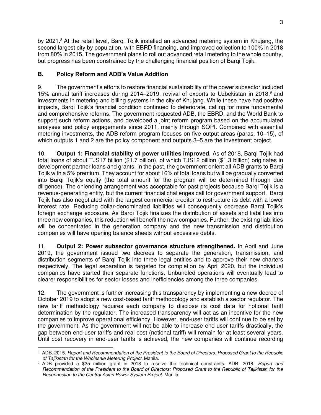by 2021.<sup>8</sup> At the retail level, Bargi Tojik installed an advanced metering system in Khujang, the second largest city by population, with EBRD financing, and improved collection to 100% in 2018 from 80% in 2015. The government plans to roll out advanced retail metering to the whole country, but progress has been constrained by the challenging financial position of Barqi Tojik.

# **B. Policy Reform and ADB's Value Addition**

9. The government's efforts to restore financial sustainability of the power subsector included 15% annual tariff increases during 2014–2019, revival of exports to Uzbekistan in 2018,<sup>9</sup> and investments in metering and billing systems in the city of Khujang. While these have had positive impacts, Barqi Tojik's financial condition continued to deteriorate, calling for more fundamental and comprehensive reforms. The government requested ADB, the EBRD, and the World Bank to support such reform actions, and developed a joint reform program based on the accumulated analyses and policy engagements since 2011, mainly through SOPI. Combined with essential metering investments, the ADB reform program focuses on five output areas (paras. 10–15), of which outputs 1 and 2 are the policy component and outputs 3–5 are the investment project.

10. **Output 1: Financial stability of power utilities improved.** As of 2018, Barqi Tojik had total loans of about TJS17 billion (\$1.7 billion), of which TJS12 billion (\$1.3 billion) originates in development partner loans and grants. In the past, the government onlent all ADB grants to Barqi Tojik with a 5% premium. They account for about 16% of total loans but will be gradually converted into Barqi Tojik's equity (the total amount for the program will be determined through due diligence). The onlending arrangement was acceptable for past projects because Barqi Tojik is a revenue-generating entity, but the current financial challenges call for government support. Barqi Tojik has also negotiated with the largest commercial creditor to restructure its debt with a lower interest rate. Reducing dollar-denominated liabilities will consequently decrease Barqi Tojik's foreign exchange exposure. As Barqi Tojik finalizes the distribution of assets and liabilities into three new companies, this reduction will benefit the new companies. Further, the existing liabilities will be concentrated in the generation company and the new transmission and distribution companies will have opening balance sheets without excessive debts.

11. **Output 2: Power subsector governance structure strengthened.** In April and June 2019, the government issued two decrees to separate the generation, transmission, and distribution segments of Barqi Tojik into three legal entities and to approve their new charters respectively. The legal separation is targeted for completion by April 2020, but the individual companies have started their separate functions. Unbundled operations will eventually lead to clearer responsibilities for sector losses and inefficiencies among the three companies.

12. The government is further increasing this transparency by implementing a new decree of October 2019 to adopt a new cost-based tariff methodology and establish a sector regulator. The new tariff methodology requires each company to disclose its cost data for notional tariff determination by the regulator. The increased transparency will act as an incentive for the new companies to improve operational efficiency. However, end-user tariffs will continue to be set by the government. As the government will not be able to increase end-user tariffs drastically, the gap between end-user tariffs and real cost (notional tariff) will remain for at least several years. Until cost recovery in end-user tariffs is achieved, the new companies will continue recording

<sup>8</sup> ADB. 2015. *Report and Recommendation of the President to the Board of Directors: Proposed Grant to the Republic of Tajikistan for the Wholesale Metering Project*. Manila.

<sup>9</sup> ADB provided a \$35 million grant in 2018 to resolve the technical constraints. ADB. 2018. *[Report and](https://www.adb.org/projects/documents/taj-52122-001-rrp)  [Recommendation of the President to the Board of Directors: Proposed Grant to the Republic of Tajikistan for the](https://www.adb.org/projects/documents/taj-52122-001-rrp)  [Reconnection to the Central Asian Power System Project.](https://www.adb.org/projects/documents/taj-52122-001-rrp)* Manila.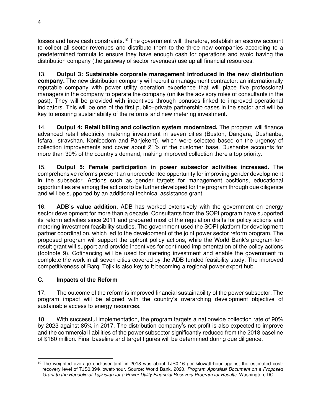losses and have cash constraints.<sup>10</sup> The government will, therefore, establish an escrow account to collect all sector revenues and distribute them to the three new companies according to a predetermined formula to ensure they have enough cash for operations and avoid having the distribution company (the gateway of sector revenues) use up all financial resources.

13. **Output 3: Sustainable corporate management introduced in the new distribution company.** The new distribution company will recruit a management contractor: an internationally reputable company with power utility operation experience that will place five professional managers in the company to operate the company (unlike the advisory roles of consultants in the past). They will be provided with incentives through bonuses linked to improved operational indicators. This will be one of the first public–private partnership cases in the sector and will be key to ensuring sustainability of the reforms and new metering investment.

14. **Output 4: Retail billing and collection system modernized.** The program will finance advanced retail electricity metering investment in seven cities (Buston, Dangara, Dushanbe, Isfara, Istravshan, Konibodom and Panjekent), which were selected based on the urgency of collection improvements and cover about 21% of the customer base. Dushanbe accounts for more than 30% of the country's demand, making improved collection there a top priority.

15. **Output 5: Female participation in power subsector activities increased.** The comprehensive reforms present an unprecedented opportunity for improving gender development in the subsector. Actions such as gender targets for management positions, educational opportunities are among the actions to be further developed for the program through due diligence and will be supported by an additional technical assistance grant.

16. **ADB's value addition.** ADB has worked extensively with the government on energy sector development for more than a decade. Consultants from the SOPI program have supported its reform activities since 2011 and prepared most of the regulation drafts for policy actions and metering investment feasibility studies. The government used the SOPI platform for development partner coordination, which led to the development of the joint power sector reform program. The proposed program will support the upfront policy actions, while the World Bank's program-forresult grant will support and provide incentives for continued implementation of the policy actions (footnote 9). Cofinancing will be used for metering investment and enable the government to complete the work in all seven cities covered by the ADB-funded feasibility study. The improved competitiveness of Barqi Tojik is also key to it becoming a regional power export hub.

# **C. Impacts of the Reform**

17. The outcome of the reform is improved financial sustainability of the power subsector. The program impact will be aligned with the country's overarching development objective of sustainable access to energy resources.

18. With successful implementation, the program targets a nationwide collection rate of 90% by 2023 against 85% in 2017. The distribution company's net profit is also expected to improve and the commercial liabilities of the power subsector significantly reduced from the 2018 baseline of \$180 million. Final baseline and target figures will be determined during due diligence.

<sup>&</sup>lt;sup>10</sup> The weighted average end-user tariff in 2018 was about TJS0.16 per kilowatt-hour against the estimated costrecovery level of TJS0.39/kilowatt-hour. Source: World Bank. 2020. *Program Appraisal Document on a Proposed Grant to the Republic of Tajikistan for a Power Utility Financial Recovery Program for Results*. Washington, DC.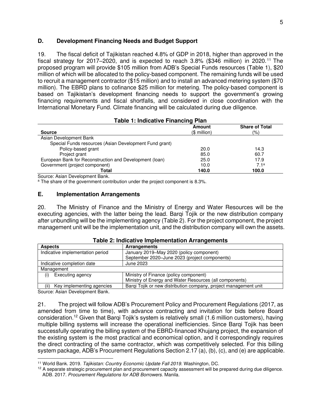#### **D. Development Financing Needs and Budget Support**

19. The fiscal deficit of Tajikistan reached 4.8% of GDP in 2018, higher than approved in the fiscal strategy for 2017–2020, and is expected to reach  $3.8\%$  (\$346 million) in 2020.<sup>11</sup> The proposed program will provide \$105 million from ADB's Special Funds resources (Table 1), \$20 million of which will be allocated to the policy-based component. The remaining funds will be used to recruit a management contractor (\$15 million) and to install an advanced metering system (\$70 million). The EBRD plans to cofinance \$25 million for metering. The policy-based component is based on Tajikistan's development financing needs to support the government's growing financing requirements and fiscal shortfalls, and considered in close coordination with the International Monetary Fund. Climate financing will be calculated during due diligence.

#### **Table 1: Indicative Financing Plan**

| <b>Source</b>                                           | Amount<br>$$$ million) | <b>Share of Total</b><br>(%) |
|---------------------------------------------------------|------------------------|------------------------------|
| Asian Development Bank                                  |                        |                              |
| Special Funds resources (Asian Development Fund grant)  |                        |                              |
| Policy-based grant                                      | 20.0                   | 14.3                         |
| Project grant                                           | 85.0                   | 60.7                         |
| European Bank for Reconstruction and Development (Ioan) | 25.0                   | 17.9                         |
| Government (project component)                          | 10.0                   | 7.1 <sup>a</sup>             |
| Total                                                   | 140.0                  | 100.0                        |

Source: Asian Development Bank.

<sup>a</sup> The share of the government contribution under the project component is 8.3%.

#### **E. Implementation Arrangements**

20. The Ministry of Finance and the Ministry of Energy and Water Resources will be the executing agencies, with the latter being the lead. Barqi Tojik or the new distribution company after unbundling will be the implementing agency (Table 2). For the project component, the project management unit will be the implementation unit, and the distribution company will own the assets.

| <b>Aspects</b>                    | <b>Arrangements</b>                                              |
|-----------------------------------|------------------------------------------------------------------|
| Indicative implementation period  | January 2019–May 2020 (policy component)                         |
|                                   | September 2020-June 2023 (project components)                    |
| Indicative completion date        | June 2023                                                        |
| Management                        |                                                                  |
| Executing agency<br>(i)           | Ministry of Finance (policy component)                           |
|                                   | Ministry of Energy and Water Resources (all components)          |
| Key implementing agencies<br>(ii) | Barqi Tojik or new distribution company, project management unit |

#### **Table 2: Indicative Implementation Arrangements**

Source: Asian Development Bank.

21. The project will follow ADB's Procurement Policy and Procurement Regulations (2017, as amended from time to time), with advance contracting and invitation for bids before Board consideration.<sup>12</sup> Given that Barqi Tojik's system is relatively small (1.6 million customers), having multiple billing systems will increase the operational inefficiencies. Since Barqi Tojik has been successfully operating the billing system of the EBRD-financed Khujang project, the expansion of the existing system is the most practical and economical option, and it correspondingly requires the direct contracting of the same contractor, which was competitively selected. For this billing system package, ADB's Procurement Regulations Section 2.17 (a), (b), (c), and (e) are applicable.

<sup>11</sup> World Bank. 2019. *Tajikistan: Country Economic Update Fall 2019.* Washington, DC.

 $12$  A separate strategic procurement plan and procurement capacity assessment will be prepared during due diligence. ADB. 2017. *Procurement Regulations for ADB Borrowers*. Manila.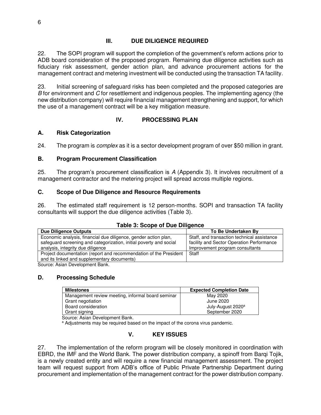#### **III. DUE DILIGENCE REQUIRED**

22. The SOPI program will support the completion of the government's reform actions prior to ADB board consideration of the proposed program. Remaining due diligence activities such as fiduciary risk assessment, gender action plan, and advance procurement actions for the management contract and metering investment will be conducted using the transaction TA facility.

23. Initial screening of safeguard risks has been completed and the proposed categories are *B* for environment and *C* for resettlement and indigenous peoples. The implementing agency (the new distribution company) will require financial management strengthening and support, for which the use of a management contract will be a key mitigation measure.

# **IV. PROCESSING PLAN**

#### **A. Risk Categorization**

24. The program is *complex* as it is a sector development program of over \$50 million in grant.

#### **B. Program Procurement Classification**

25. The program's procurement classification is *A* (Appendix 3). It involves recruitment of a management contractor and the metering project will spread across multiple regions.

#### **C. Scope of Due Diligence and Resource Requirements**

26. The estimated staff requirement is 12 person-months. SOPI and transaction TA facility consultants will support the due diligence activities (Table 3).

#### **Table 3: Scope of Due Diligence**

| <b>Due Diligence Outputs</b>                                       | To Be Undertaken By                         |
|--------------------------------------------------------------------|---------------------------------------------|
| Economic analysis, financial due diligence, gender action plan,    | Staff, and transaction technical assistance |
| safeguard screening and categorization, initial poverty and social | facility and Sector Operation Performance   |
| analysis, integrity due diligence                                  | Improvement program consultants             |
| Project documentation (report and recommendation of the President  | Staff                                       |
| and its linked and supplementary documents)                        |                                             |
| Oranger Artes Development Dealer                                   |                                             |

Source: Asian Development Bank.

#### **D. Processing Schedule**

| <b>Milestones</b>                                 | <b>Expected Completion Date</b> |
|---------------------------------------------------|---------------------------------|
| Management review meeting, informal board seminar | May 2020                        |
| Grant negotiation                                 | June 2020                       |
| Board consideration                               | July-August 2020 <sup>a</sup>   |
| Grant signing                                     | September 2020                  |

Source: Asian Development Bank.

<sup>a</sup> Adjustments may be required based on the impact of the corona virus pandemic.

# **V. KEY ISSUES**

27. The implementation of the reform program will be closely monitored in coordination with EBRD, the IMF and the World Bank. The power distribution company, a spinoff from Barqi Tojik, is a newly created entity and will require a new financial management assessment. The project team will request support from ADB's office of Public Private Partnership Department during procurement and implementation of the management contract for the power distribution company.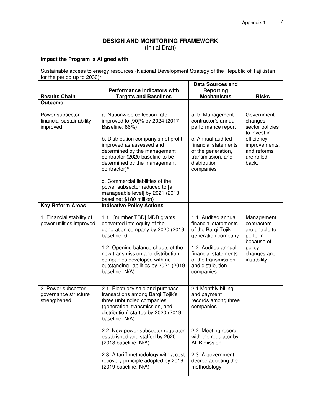# **DESIGN AND MONITORING FRAMEWORK**

(Initial Draft)

| Impact the Program is Aligned with<br>Sustainable access to energy resources (National Development Strategy of the Republic of Tajikistan |                                                                                                                                                                                                 |                                                                                                                   |                                                                   |  |
|-------------------------------------------------------------------------------------------------------------------------------------------|-------------------------------------------------------------------------------------------------------------------------------------------------------------------------------------------------|-------------------------------------------------------------------------------------------------------------------|-------------------------------------------------------------------|--|
| for the period up to 2030) <sup>a</sup>                                                                                                   |                                                                                                                                                                                                 |                                                                                                                   |                                                                   |  |
| <b>Results Chain</b>                                                                                                                      | <b>Performance Indicators with</b><br><b>Targets and Baselines</b>                                                                                                                              | <b>Data Sources and</b><br>Reporting<br><b>Mechanisms</b>                                                         | <b>Risks</b>                                                      |  |
| <b>Outcome</b>                                                                                                                            |                                                                                                                                                                                                 |                                                                                                                   |                                                                   |  |
| Power subsector<br>financial sustainability<br>improved                                                                                   | a. Nationwide collection rate<br>improved to [90]% by 2024 (2017<br>Baseline: 86%)                                                                                                              | a-b. Management<br>contractor's annual<br>performance report                                                      | Government<br>changes<br>sector policies<br>to invest in          |  |
|                                                                                                                                           | b. Distribution company's net profit<br>improved as assessed and<br>determined by the management<br>contractor (2020 baseline to be<br>determined by the management<br>contractor) <sup>b</sup> | c. Annual audited<br>financial statements<br>of the generation,<br>transmission, and<br>distribution<br>companies | efficiency<br>improvements,<br>and reforms<br>are rolled<br>back. |  |
|                                                                                                                                           | c. Commercial liabilities of the<br>power subsector reduced to [a<br>manageable level] by 2021 (2018<br>baseline: \$180 million)                                                                |                                                                                                                   |                                                                   |  |
| <b>Key Reform Areas</b>                                                                                                                   | <b>Indicative Policy Actions</b>                                                                                                                                                                |                                                                                                                   |                                                                   |  |
| 1. Financial stability of<br>power utilities improved                                                                                     | 1.1. [number TBD] MDB grants<br>converted into equity of the<br>generation company by 2020 (2019<br>baseline: 0)                                                                                | 1.1. Audited annual<br>financial statements<br>of the Barqi Tojik<br>generation company                           | Management<br>contractors<br>are unable to<br>perform             |  |
|                                                                                                                                           | 1.2. Opening balance sheets of the<br>new transmission and distribution<br>companies developed with no<br>outstanding liabilities by 2021 (2019<br>baseline: N/A)                               | 1.2. Audited annual<br>financial statements<br>of the transmission<br>and distribution<br>companies               | because of<br>policy<br>changes and<br>instability.               |  |
| 2. Power subsector<br>governance structure<br>strengthened                                                                                | 2.1. Electricity sale and purchase<br>transactions among Barqi Tojik's<br>three unbundled companies<br>(generation, transmission, and<br>distribution) started by 2020 (2019<br>baseline: N/A)  | 2.1 Monthly billing<br>and payment<br>records among three<br>companies                                            |                                                                   |  |
|                                                                                                                                           | 2.2. New power subsector regulator<br>established and staffed by 2020<br>(2018 baseline: N/A)                                                                                                   | 2.2. Meeting record<br>with the regulator by<br>ADB mission.                                                      |                                                                   |  |
|                                                                                                                                           | 2.3. A tariff methodology with a cost<br>recovery principle adopted by 2019<br>(2019 baseline: N/A)                                                                                             | 2.3. A government<br>decree adopting the<br>methodology                                                           |                                                                   |  |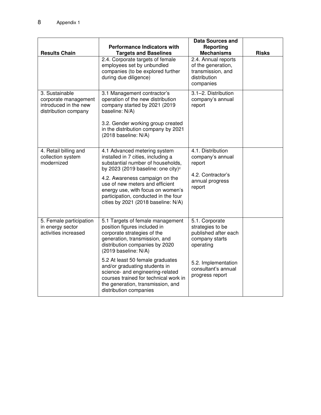| <b>Results Chain</b>                                                                    | <b>Performance Indicators with</b><br><b>Targets and Baselines</b>                                                                                                                                            | <b>Data Sources and</b><br>Reporting<br><b>Mechanisms</b>                                   | <b>Risks</b> |
|-----------------------------------------------------------------------------------------|---------------------------------------------------------------------------------------------------------------------------------------------------------------------------------------------------------------|---------------------------------------------------------------------------------------------|--------------|
|                                                                                         | 2.4. Corporate targets of female<br>employees set by unbundled<br>companies (to be explored further<br>during due diligence)                                                                                  | 2.4. Annual reports<br>of the generation,<br>transmission, and<br>distribution<br>companies |              |
| 3. Sustainable<br>corporate management<br>introduced in the new<br>distribution company | 3.1 Management contractor's<br>operation of the new distribution<br>company started by 2021 (2019<br>baseline: N/A)<br>3.2. Gender working group created<br>in the distribution company by 2021               | 3.1-2. Distribution<br>company's annual<br>report                                           |              |
|                                                                                         | (2018 baseline: N/A)                                                                                                                                                                                          |                                                                                             |              |
| 4. Retail billing and<br>collection system<br>modernized                                | 4.1 Advanced metering system<br>installed in 7 cities, including a<br>substantial number of households,<br>by 2023 (2019 baseline: one city) <sup>c</sup>                                                     | 4.1. Distribution<br>company's annual<br>report                                             |              |
|                                                                                         | 4.2. Awareness campaign on the<br>use of new meters and efficient<br>energy use, with focus on women's<br>participation, conducted in the four<br>cities by 2021 (2018 baseline: N/A)                         | 4.2. Contractor's<br>annual progress<br>report                                              |              |
| 5. Female participation<br>in energy sector<br>activities increased                     | 5.1 Targets of female management<br>position figures included in<br>corporate strategies of the<br>generation, transmission, and<br>distribution companies by 2020<br>(2019 baseline: N/A)                    | 5.1. Corporate<br>strategies to be<br>published after each<br>company starts<br>operating   |              |
|                                                                                         | 5.2 At least 50 female graduates<br>and/or graduating students in<br>science- and engineering-related<br>courses trained for technical work in<br>the generation, transmission, and<br>distribution companies | 5.2. Implementation<br>consultant's annual<br>progress report                               |              |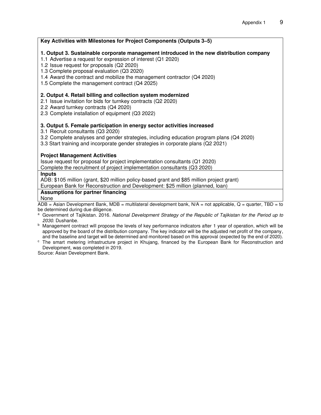**Key Activities with Milestones for Project Components (Outputs 3–5) 1. Output 3. Sustainable corporate management introduced in the new distribution company**  1.1 Advertise a request for expression of interest (Q1 2020) 1.2 Issue request for proposals (Q2 2020) 1.3 Complete proposal evaluation (Q3 2020) 1.4 Award the contract and mobilize the management contractor (Q4 2020) 1.5 Complete the management contract (Q4 2025) **2. Output 4. Retail billing and collection system modernized**  2.1 Issue invitation for bids for turnkey contracts (Q2 2020) 2.2 Award turnkey contracts (Q4 2020) 2.3 Complete installation of equipment (Q3 2022) **3. Output 5. Female participation in energy sector activities increased**  3.1 Recruit consultants (Q3 2020) 3.2 Complete analyses and gender strategies, including education program plans (Q4 2020) 3.3 Start training and incorporate gender strategies in corporate plans (Q2 2021) **Project Management Activities** Issue request for proposal for project implementation consultants (Q1 2020) Complete the recruitment of project implementation consultants (Q3 2020) **Inputs**  ADB: \$105 million (grant, \$20 million policy-based grant and \$85 million project grant) European Bank for Reconstruction and Development: \$25 million (planned, loan) **Assumptions for partner financing** None  $\overline{ADB}$  = Asian Development Bank, MDB = multilateral development bank, N/A = not applicable, Q = quarter, TBD = to be determined during due diligence.

- a Government of Tajikistan. 2016. *National Development Strategy of the Republic of Tajikistan for the Period up to 2030*. Dushanbe.
- $<sup>b</sup>$  Management contract will propose the levels of key performance indicators after 1 year of operation, which will be</sup> approved by the board of the distribution company. The key indicator will be the adjusted net profit of the company, and the baseline and target will be determined and monitored based on this approval (expected by the end of 2020).
- c The smart metering infrastructure project in Khujang, financed by the European Bank for Reconstruction and Development, was completed in 2019.

Source: Asian Development Bank.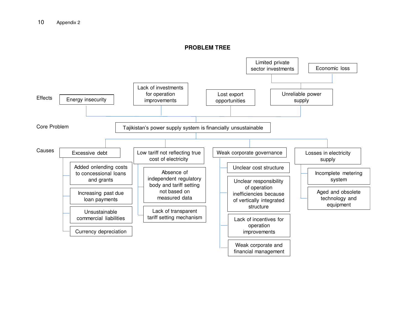#### **PROBLEM TREE**

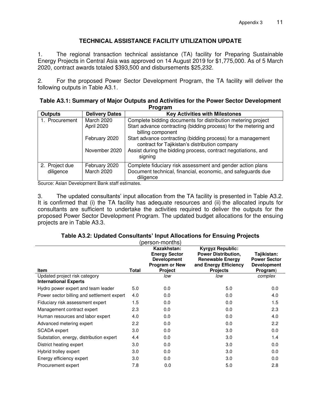#### **TECHNICAL ASSISTANCE FACILITY UTILIZATION UPDATE**

1. The regional transaction technical assistance (TA) facility for Preparing Sustainable Energy Projects in Central Asia was approved on 14 August 2019 for \$1,775,000. As of 5 March 2020, contract awards totaled \$393,500 and disbursements \$25,232.

2. For the proposed Power Sector Development Program, the TA facility will deliver the following outputs in Table A3.1.

| Table A3.1: Summary of Major Outputs and Activities for the Power Sector Development |
|--------------------------------------------------------------------------------------|
| Program                                                                              |

| <b>Outputs</b>              | <b>Delivery Dates</b>       | <b>Key Activities with Milestones</b>                                                                                                  |
|-----------------------------|-----------------------------|----------------------------------------------------------------------------------------------------------------------------------------|
| 1. Procurement              | March 2020                  | Complete bidding documents for distribution metering project                                                                           |
|                             | April 2020                  | Start advance contracting (bidding process) for the metering and<br>billing component                                                  |
|                             | February 2020               | Start advance contracting (bidding process) for a management<br>contract for Tajikistan's distribution company                         |
|                             | November 2020               | Assist during the bidding process, contract negotiations, and<br>signing                                                               |
| 2. Project due<br>diligence | February 2020<br>March 2020 | Complete fiduciary risk assessment and gender action plans<br>Document technical, financial, economic, and safeguards due<br>diligence |

Source: Asian Development Bank staff estimates.

3. The updated consultants' input allocation from the TA facility is presented in Table A3.2. It is confirmed that (i) the TA facility has adequate resources and (ii) the allocated inputs for consultants are sufficient to undertake the activities required to deliver the outputs for the proposed Power Sector Development Program. The updated budget allocations for the ensuing projects are in Table A3.3.

|                                                               |              | (person-months)                                                                                      |                                                                                                                              |                                                                      |
|---------------------------------------------------------------|--------------|------------------------------------------------------------------------------------------------------|------------------------------------------------------------------------------------------------------------------------------|----------------------------------------------------------------------|
| Item                                                          | <b>Total</b> | Kazakhstan:<br><b>Energy Sector</b><br><b>Development</b><br><b>Program or New</b><br><b>Project</b> | <b>Kyrgyz Republic:</b><br><b>Power Distribution,</b><br><b>Renewable Energy</b><br>and Energy Efficiency<br><b>Projects</b> | Tajikistan:<br><b>Power Sector</b><br><b>Development</b><br>Program) |
| Updated project risk category<br><b>International Experts</b> |              | low                                                                                                  | low                                                                                                                          | complex                                                              |
| Hydro power expert and team leader                            | 5.0          | 0.0                                                                                                  | 5.0                                                                                                                          | 0.0                                                                  |
| Power sector billing and settlement expert                    | 4.0          | 0.0                                                                                                  | 0.0                                                                                                                          | 4.0                                                                  |
| Fiduciary risk assessment expert                              | 1.5          | 0.0                                                                                                  | 0.0                                                                                                                          | 1.5                                                                  |
| Management contract expert                                    | 2.3          | 0.0                                                                                                  | 0.0                                                                                                                          | 2.3                                                                  |
| Human resources and labor expert                              | 4.0          | 0.0                                                                                                  | 0.0                                                                                                                          | 4.0                                                                  |
| Advanced metering expert                                      | 2.2          | 0.0                                                                                                  | 0.0                                                                                                                          | 2.2                                                                  |
| SCADA expert                                                  | 3.0          | 0.0                                                                                                  | 3.0                                                                                                                          | 0.0                                                                  |
| Substation, energy, distribution expert                       | 4.4          | 0.0                                                                                                  | 3.0                                                                                                                          | 1.4                                                                  |
| District heating expert                                       | 3.0          | 0.0                                                                                                  | 3.0                                                                                                                          | 0.0                                                                  |
| Hybrid trolley expert                                         | 3.0          | 0.0                                                                                                  | 3.0                                                                                                                          | 0.0                                                                  |
| Energy efficiency expert                                      | 3.0          | 0.0                                                                                                  | 3.0                                                                                                                          | 0.0                                                                  |
| Procurement expert                                            | 7.8          | 0.0                                                                                                  | 5.0                                                                                                                          | 2.8                                                                  |

#### **Table A3.2: Updated Consultants' Input Allocations for Ensuing Projects**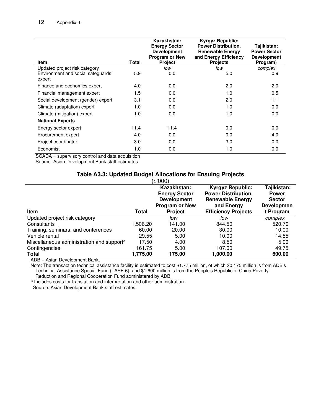| Item                                                                         | Total | Kazakhstan:<br><b>Energy Sector</b><br><b>Development</b><br>Program or New<br><b>Project</b> | <b>Kyrgyz Republic:</b><br><b>Power Distribution,</b><br><b>Renewable Energy</b><br>and Energy Efficiency<br><b>Projects</b> | Tajikistan:<br><b>Power Sector</b><br><b>Development</b><br>Program) |
|------------------------------------------------------------------------------|-------|-----------------------------------------------------------------------------------------------|------------------------------------------------------------------------------------------------------------------------------|----------------------------------------------------------------------|
| Updated project risk category<br>Environment and social safeguards<br>expert | 5.9   | low<br>0.0                                                                                    | low<br>5.0                                                                                                                   | complex<br>0.9                                                       |
| Finance and economics expert                                                 | 4.0   | 0.0                                                                                           | 2.0                                                                                                                          | 2.0                                                                  |
| Financial management expert                                                  | 1.5   | 0.0                                                                                           | 1.0                                                                                                                          | 0.5                                                                  |
| Social development (gender) expert                                           | 3.1   | 0.0                                                                                           | 2.0                                                                                                                          | 1.1                                                                  |
| Climate (adaptation) expert                                                  | 1.0   | 0.0                                                                                           | 1.0                                                                                                                          | 0.0                                                                  |
| Climate (mitigation) expert                                                  | 1.0   | 0.0                                                                                           | 1.0                                                                                                                          | 0.0                                                                  |
| <b>National Experts</b>                                                      |       |                                                                                               |                                                                                                                              |                                                                      |
| Energy sector expert                                                         | 11.4  | 11.4                                                                                          | 0.0                                                                                                                          | 0.0                                                                  |
| Procurement expert                                                           | 4.0   | 0.0                                                                                           | 0.0                                                                                                                          | 4.0                                                                  |
| Project coordinator                                                          | 3.0   | 0.0                                                                                           | 3.0                                                                                                                          | 0.0                                                                  |
| Economist                                                                    | 1.0   | 0.0                                                                                           | 1.0                                                                                                                          | 0.0                                                                  |

SCADA = supervisory control and data acquisition

Source: Asian Development Bank staff estimates.

# **Table A3.3: Updated Budget Allocations for Ensuing Projects**

|                                                       |          | (\$'000)                                                                                      |                                                                                                                              |                                                                         |
|-------------------------------------------------------|----------|-----------------------------------------------------------------------------------------------|------------------------------------------------------------------------------------------------------------------------------|-------------------------------------------------------------------------|
| <b>Item</b>                                           | Total    | Kazakhstan:<br><b>Energy Sector</b><br><b>Development</b><br>Program or New<br><b>Project</b> | <b>Kyrgyz Republic:</b><br><b>Power Distribution,</b><br><b>Renewable Energy</b><br>and Energy<br><b>Efficiency Projects</b> | Tajikistan:<br><b>Power</b><br><b>Sector</b><br>Developmen<br>t Program |
| Updated project risk category                         |          | low                                                                                           | low                                                                                                                          | complex                                                                 |
| Consultants                                           | 1,506.20 | 141.00                                                                                        | 844.50                                                                                                                       | 520.70                                                                  |
| Training, seminars, and conferences                   | 60.00    | 20.00                                                                                         | 30.00                                                                                                                        | 10.00                                                                   |
| Vehicle rental                                        | 29.55    | 5.00                                                                                          | 10.00                                                                                                                        | 14.55                                                                   |
| Miscellaneous administration and support <sup>a</sup> | 17.50    | 4.00                                                                                          | 8.50                                                                                                                         | 5.00                                                                    |
| Contingencies                                         | 161.75   | 5.00                                                                                          | 107.00                                                                                                                       | 49.75                                                                   |
| <b>Total</b>                                          | 1,775.00 | 175.00                                                                                        | 1,000.00                                                                                                                     | 600.00                                                                  |

ADB = Asian Development Bank.

Note: The transaction technical assistance facility is estimated to cost \$1.775 million, of which \$0.175 million is from ADB's Technical Assistance Special Fund (TASF-6), and \$1.600 million is from the People's Republic of China Poverty Reduction and Regional Cooperation Fund administered by ADB.

a Includes costs for translation and interpretation and other administration.

Source: Asian Development Bank staff estimates.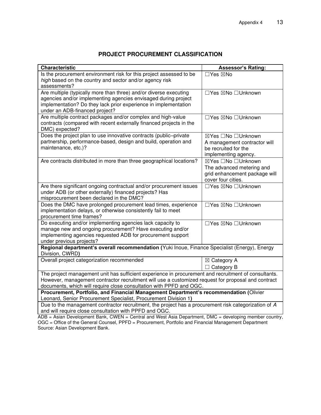# **PROJECT PROCUREMENT CLASSIFICATION**

| <b>Characteristic</b>                                                                                                               | <b>Assessor's Rating:</b>     |  |  |  |
|-------------------------------------------------------------------------------------------------------------------------------------|-------------------------------|--|--|--|
| Is the procurement environment risk for this project assessed to be                                                                 | □Yes ⊠No                      |  |  |  |
| high based on the country and sector and/or agency risk                                                                             |                               |  |  |  |
| assessments?                                                                                                                        |                               |  |  |  |
| Are multiple (typically more than three) and/or diverse executing                                                                   | □Yes ⊠No □Unknown             |  |  |  |
| agencies and/or implementing agencies envisaged during project                                                                      |                               |  |  |  |
| implementation? Do they lack prior experience in implementation                                                                     |                               |  |  |  |
| under an ADB-financed project?                                                                                                      |                               |  |  |  |
| Are multiple contract packages and/or complex and high-value<br>contracts (compared with recent externally financed projects in the | □Yes ⊠No □Unknown             |  |  |  |
| DMC) expected?                                                                                                                      |                               |  |  |  |
| Does the project plan to use innovative contracts (public-private                                                                   | ⊠Yes □No □Unknown             |  |  |  |
| partnership, performance-based, design and build, operation and                                                                     | A management contractor will  |  |  |  |
| maintenance, etc.)?                                                                                                                 | be recruited for the          |  |  |  |
|                                                                                                                                     | implementing agency.          |  |  |  |
| Are contracts distributed in more than three geographical locations?                                                                | ⊠Yes □No □Unknown             |  |  |  |
|                                                                                                                                     | The advanced metering and     |  |  |  |
|                                                                                                                                     | grid enhancement package will |  |  |  |
|                                                                                                                                     | cover four cities.            |  |  |  |
| Are there significant ongoing contractual and/or procurement issues                                                                 | □Yes ⊠No □Unknown             |  |  |  |
| under ADB (or other externally) financed projects? Has                                                                              |                               |  |  |  |
| misprocurement been declared in the DMC?                                                                                            |                               |  |  |  |
| Does the DMC have prolonged procurement lead times, experience                                                                      | □Yes ⊠No □Unknown             |  |  |  |
| implementation delays, or otherwise consistently fail to meet                                                                       |                               |  |  |  |
| procurement time frames?                                                                                                            |                               |  |  |  |
| Do executing and/or implementing agencies lack capacity to                                                                          | □Yes ⊠No □Unknown             |  |  |  |
| manage new and ongoing procurement? Have executing and/or                                                                           |                               |  |  |  |
| implementing agencies requested ADB for procurement support                                                                         |                               |  |  |  |
| under previous projects?                                                                                                            |                               |  |  |  |
| Regional department's overall recommendation (Yuki Inoue, Finance Specialist (Energy), Energy<br>Division, CWRD)                    |                               |  |  |  |
| Overall project categorization recommended                                                                                          | $\boxtimes$ Category A        |  |  |  |
|                                                                                                                                     | $\Box$ Category B             |  |  |  |
| The project management unit has sufficient experience in procurement and recruitment of consultants.                                |                               |  |  |  |
| However, management contractor recruitment will use a customized request for proposal and contract                                  |                               |  |  |  |
| documents, which will require close consultation with PPFD and OGC.                                                                 |                               |  |  |  |
| Procurement, Portfolio, and Financial Management Department's recommendation (Olivier                                               |                               |  |  |  |
| Leonard, Senior Procurement Specialist, Procurement Division 1)                                                                     |                               |  |  |  |
| Due to the management contractor recruitment, the project has a procurement risk categorization of A                                |                               |  |  |  |
| and will require close consultation with PPFD and OGC.                                                                              |                               |  |  |  |
| $ADB = Asian Development Bank$ , CWEN = Central and West Asia Department, DMC = developing member country,                          |                               |  |  |  |

OGC = Office of the General Counsel, PPFD = Procurement, Portfolio and Financial Management Department Source: Asian Development Bank.